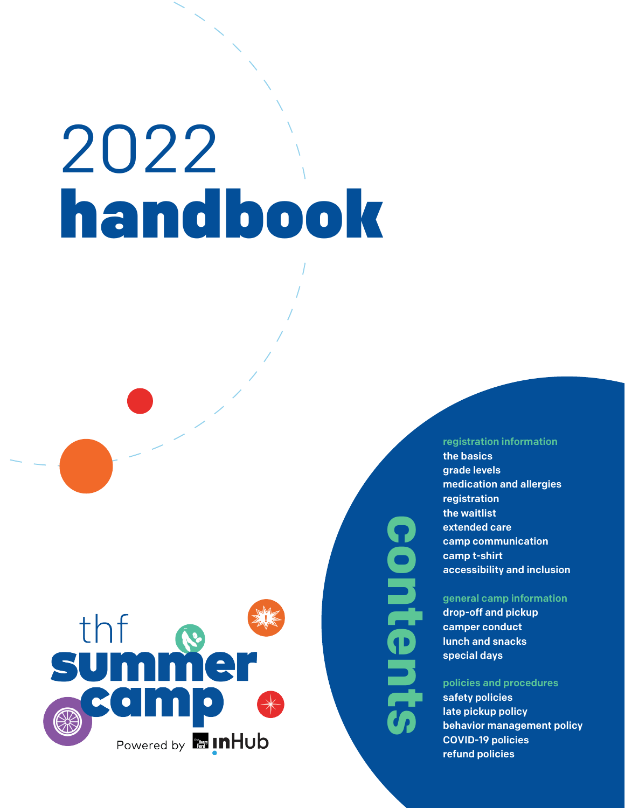# 2022 handbook



**contentsContents** 

## [registration information](#page-1-0)

[the basics](#page-1-0) [grade levels](#page-1-0) [medication and allergies](#page-1-1) [registration](#page-1-1) [the waitlist](#page-2-0) [extended care](#page-2-0) [camp communication](#page-2-1) [camp t-shirt](#page-2-1) [accessibility and inclusion](#page-2-2)

## [general camp information](#page-3-0)

[drop-off and pickup](#page-3-1) [camper conduct](#page-3-0) [lunch and snacks](#page-4-0) [special days](#page-4-1)

## [policies and pro](#page-4-1)cedures

[safety policies](#page-4-2) [late pickup policy](#page-4-2) be[havior management policy](#page-5-0) [COVID-19 policies](#page-5-0) [refund polic](#page-6-0)ies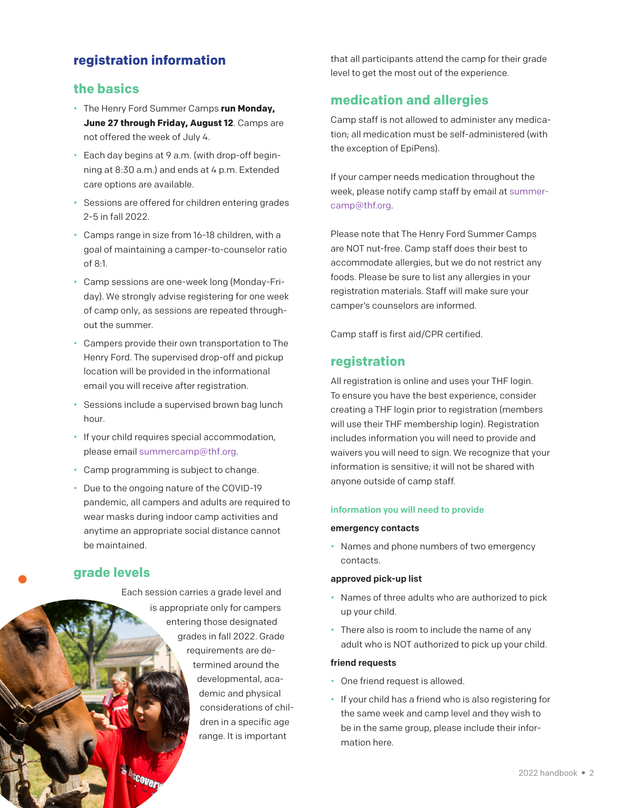# <span id="page-1-1"></span><span id="page-1-0"></span>**registration information**

# **the basics**

- The Henry Ford Summer Camps **run Monday, June 27 through Friday, August 12**. Camps are not offered the week of July 4.
- Each day begins at 9 a.m. (with drop-off beginning at 8:30 a.m.) and ends at 4 p.m. Extended care options are available.
- Sessions are offered for children entering grades 2-5 in fall 2022.
- Camps range in size from 16-18 children, with a goal of maintaining a camper-to-counselor ratio of 8:1.
- Camp sessions are one-week long (Monday-Friday). We strongly advise registering for one week of camp only, as sessions are repeated throughout the summer.
- Campers provide their own transportation to The Henry Ford. The supervised drop-off and pickup location will be provided in the informational email you will receive after registration.
- Sessions include a supervised brown bag lunch hour.
- If your child requires special accommodation, please email summercamp@thf.org.
- Camp programming is subject to change.
- Due to the ongoing nature of the COVID-19 pandemic, all campers and adults are required to wear masks during indoor camp activities and anytime an appropriate social distance cannot be maintained.

## **grade levels**

Each session carries a grade level and is appropriate only for campers entering those designated grades in fall 2022. Grade requirements are determined around the developmental, academic and physical considerations of children in a specific age range. It is important

that all participants attend the camp for their grade level to get the most out of the experience.

# **medication and allergies**

Camp staff is not allowed to administer any medication; all medication must be self-administered (with the exception of EpiPens).

If your camper needs medication throughout the week, please notify camp staff by email at summercamp@thf.org.

Please note that The Henry Ford Summer Camps are NOT nut-free. Camp staff does their best to accommodate allergies, but we do not restrict any foods. Please be sure to list any allergies in your registration materials. Staff will make sure your camper's counselors are informed.

Camp staff is first aid/CPR certified.

# **registration**

All registration is online and uses your THF login. To ensure you have the best experience, consider creating a THF login prior to registration (members will use their THF membership login). Registration includes information you will need to provide and waivers you will need to sign. We recognize that your information is sensitive; it will not be shared with anyone outside of camp staff.

## information you will need to provide

## emergency contacts

• Names and phone numbers of two emergency contacts.

## approved pick-up list

- Names of three adults who are authorized to pick up your child.
- There also is room to include the name of any adult who is NOT authorized to pick up your child.

## friend requests

- One friend request is allowed.
- If your child has a friend who is also registering for the same week and camp level and they wish to be in the same group, please include their information here.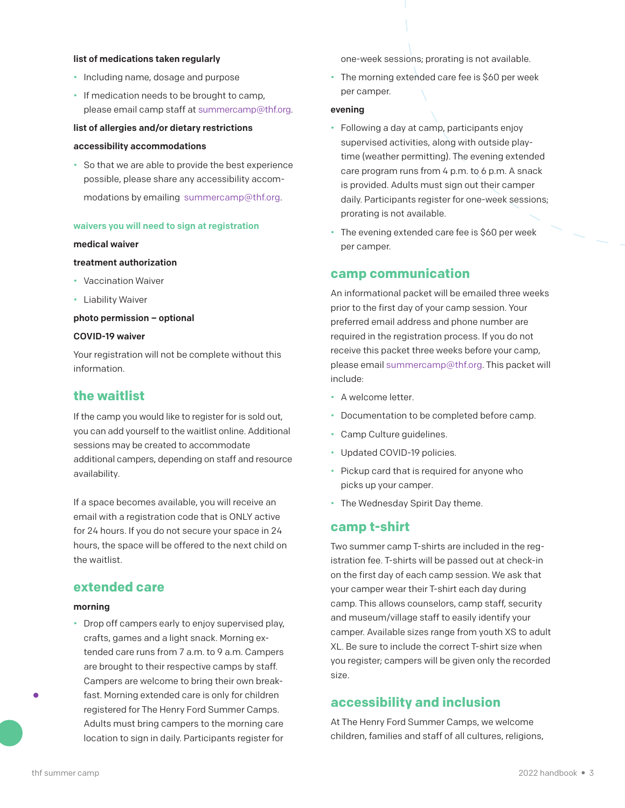#### <span id="page-2-1"></span>list of medications taken regularly

- Including name, dosage and purpose
- <span id="page-2-0"></span>• If medication needs to be brought to camp, please email camp staff at summercamp@thf.org.

#### list of allergies and/or dietary restrictions

## accessibility accommodations

• So that we are able to provide the best experience possible, please share any accessibility accommodations by emailing summercamp@thf.org.

#### waivers you will need to sign at registration

#### medical waiver

## <span id="page-2-2"></span>treatment authorization

- Vaccination Waiver
- Liability Waiver

#### photo permission – optional

## COVID-19 waiver

Your registration will not be complete without this information.

## **the waitlist**

If the camp you would like to register for is sold out, you can add yourself to the waitlist online. Additional sessions may be created to accommodate additional campers, depending on staff and resource availability.

If a space becomes available, you will receive an email with a registration code that is ONLY active for 24 hours. If you do not secure your space in 24 hours, the space will be offered to the next child on the waitlist.

# **extended care**

#### morning

• Drop off campers early to enjoy supervised play, crafts, games and a light snack. Morning extended care runs from 7 a.m. to 9 a.m. Campers are brought to their respective camps by staff. Campers are welcome to bring their own breakfast. Morning extended care is only for children registered for The Henry Ford Summer Camps. Adults must bring campers to the morning care location to sign in daily. Participants register for

one-week sessions; prorating is not available.

• The morning extended care fee is \$60 per week per camper.

#### evening

- Following a day at camp, participants enjoy supervised activities, along with outside playtime (weather permitting). The evening extended care program runs from 4 p.m. to 6 p.m. A snack is provided. Adults must sign out their camper daily. Participants register for one-week sessions; prorating is not available.
- The evening extended care fee is \$60 per week per camper.

## **camp communication**

An informational packet will be emailed three weeks prior to the first day of your camp session. Your preferred email address and phone number are required in the registration process. If you do not receive this packet three weeks before your camp, please email summercamp@thf.org. This packet will include:

- A welcome letter.
- Documentation to be completed before camp.
- Camp Culture guidelines.
- Updated COVID-19 policies.
- Pickup card that is required for anyone who picks up your camper.
- The Wednesday Spirit Day theme.

## **camp t-shirt**

Two summer camp T-shirts are included in the registration fee. T-shirts will be passed out at check-in on the first day of each camp session. We ask that your camper wear their T-shirt each day during camp. This allows counselors, camp staff, security and museum/village staff to easily identify your camper. Available sizes range from youth XS to adult XL. Be sure to include the correct T-shirt size when you register; campers will be given only the recorded size.

## **accessibility and inclusion**

At The Henry Ford Summer Camps, we welcome children, families and staff of all cultures, religions,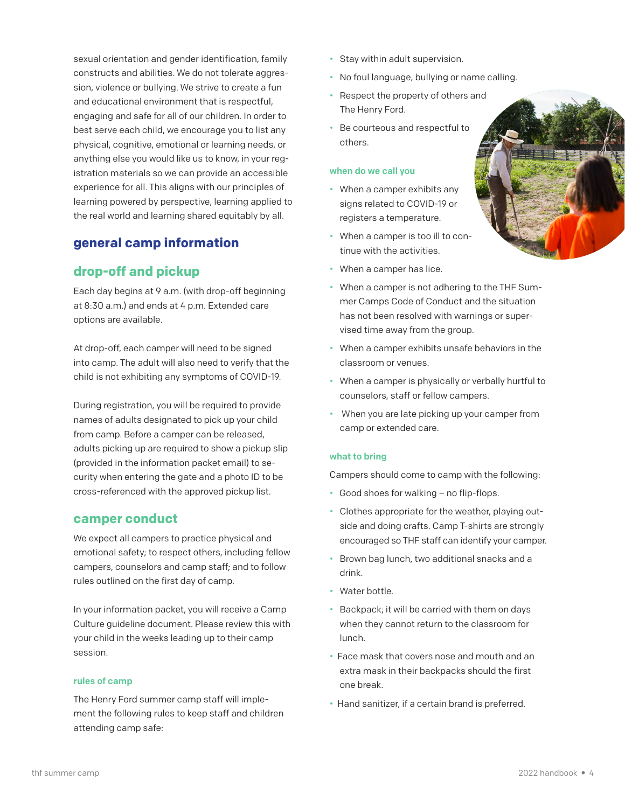<span id="page-3-1"></span>sexual orientation and gender identification, family constructs and abilities. We do not tolerate aggression, violence or bullying. We strive to create a fun and educational environment that is respectful, engaging and safe for all of our children. In order to best serve each child, we encourage you to list any physical, cognitive, emotional or learning needs, or anything else you would like us to know, in your registration materials so we can provide an accessible experience for all. This aligns with our principles of learning powered by perspective, learning applied to the real world and learning shared equitably by all.

# <span id="page-3-0"></span>**general camp information**

# **drop-off and pickup**

Each day begins at 9 a.m. (with drop-off beginning at 8:30 a.m.) and ends at 4 p.m. Extended care options are available.

At drop-off, each camper will need to be signed into camp. The adult will also need to verify that the child is not exhibiting any symptoms of COVID-19.

During registration, you will be required to provide names of adults designated to pick up your child from camp. Before a camper can be released, adults picking up are required to show a pickup slip (provided in the information packet email) to security when entering the gate and a photo ID to be cross-referenced with the approved pickup list.

## **camper conduct**

We expect all campers to practice physical and emotional safety; to respect others, including fellow campers, counselors and camp staff; and to follow rules outlined on the first day of camp.

In your information packet, you will receive a Camp Culture guideline document. Please review this with your child in the weeks leading up to their camp session.

## rules of camp

The Henry Ford summer camp staff will implement the following rules to keep staff and children attending camp safe:

- Stay within adult supervision.
- No foul language, bullying or name calling.
- Respect the property of others and The Henry Ford.
- Be courteous and respectful to others.

## when do we call you

- When a camper exhibits any signs related to COVID-19 or registers a temperature.
- When a camper is too ill to continue with the activities.
- When a camper has lice.
- When a camper is not adhering to the THF Summer Camps Code of Conduct and the situation has not been resolved with warnings or supervised time away from the group.
- When a camper exhibits unsafe behaviors in the classroom or venues.
- When a camper is physically or verbally hurtful to counselors, staff or fellow campers.
- When you are late picking up your camper from camp or extended care.

## what to bring

Campers should come to camp with the following:

- Good shoes for walking no flip-flops.
- Clothes appropriate for the weather, playing outside and doing crafts. Camp T-shirts are strongly encouraged so THF staff can identify your camper.
- Brown bag lunch, two additional snacks and a drink.
- Water bottle.
- Backpack; it will be carried with them on days when they cannot return to the classroom for lunch.
- Face mask that covers nose and mouth and an extra mask in their backpacks should the first one break.
- Hand sanitizer, if a certain brand is preferred.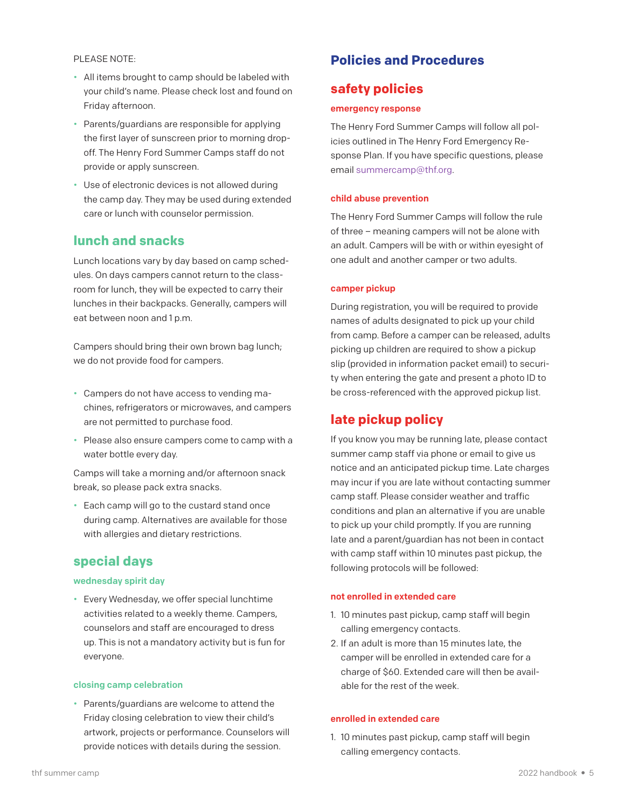<span id="page-4-2"></span><span id="page-4-1"></span><span id="page-4-0"></span>PLEASE NOTE:

- All items brought to camp should be labeled with your child's name. Please check lost and found on Friday afternoon.
- Parents/guardians are responsible for applying the first layer of sunscreen prior to morning dropoff. The Henry Ford Summer Camps staff do not provide or apply sunscreen.
- Use of electronic devices is not allowed during the camp day. They may be used during extended care or lunch with counselor permission.

## **lunch and snacks**

Lunch locations vary by day based on camp schedules. On days campers cannot return to the classroom for lunch, they will be expected to carry their lunches in their backpacks. Generally, campers will eat between noon and 1 p.m.

Campers should bring their own brown bag lunch; we do not provide food for campers.

- Campers do not have access to vending machines, refrigerators or microwaves, and campers are not permitted to purchase food.
- Please also ensure campers come to camp with a water bottle every day.

Camps will take a morning and/or afternoon snack break, so please pack extra snacks.

• Each camp will go to the custard stand once during camp. Alternatives are available for those with allergies and dietary restrictions.

## **special days**

## wednesday spirit day

• Every Wednesday, we offer special lunchtime activities related to a weekly theme. Campers, counselors and staff are encouraged to dress up. This is not a mandatory activity but is fun for everyone.

#### closing camp celebration

• Parents/guardians are welcome to attend the Friday closing celebration to view their child's artwork, projects or performance. Counselors will provide notices with details during the session.

# **Policies and Procedures**

## **safety policies**

#### emergency response

The Henry Ford Summer Camps will follow all policies outlined in The Henry Ford Emergency Response Plan. If you have specific questions, please email summercamp@thf.org.

### child abuse prevention

The Henry Ford Summer Camps will follow the rule of three – meaning campers will not be alone with an adult. Campers will be with or within eyesight of one adult and another camper or two adults.

### camper pickup

During registration, you will be required to provide names of adults designated to pick up your child from camp. Before a camper can be released, adults picking up children are required to show a pickup slip (provided in information packet email) to security when entering the gate and present a photo ID to be cross-referenced with the approved pickup list.

# **late pickup policy**

If you know you may be running late, please contact summer camp staff via phone or email to give us notice and an anticipated pickup time. Late charges may incur if you are late without contacting summer camp staff. Please consider weather and traffic conditions and plan an alternative if you are unable to pick up your child promptly. If you are running late and a parent/guardian has not been in contact with camp staff within 10 minutes past pickup, the following protocols will be followed:

#### not enrolled in extended care

- 1. 10 minutes past pickup, camp staff will begin calling emergency contacts.
- 2. If an adult is more than 15 minutes late, the camper will be enrolled in extended care for a charge of \$60. Extended care will then be available for the rest of the week.

#### enrolled in extended care

1. 10 minutes past pickup, camp staff will begin calling emergency contacts.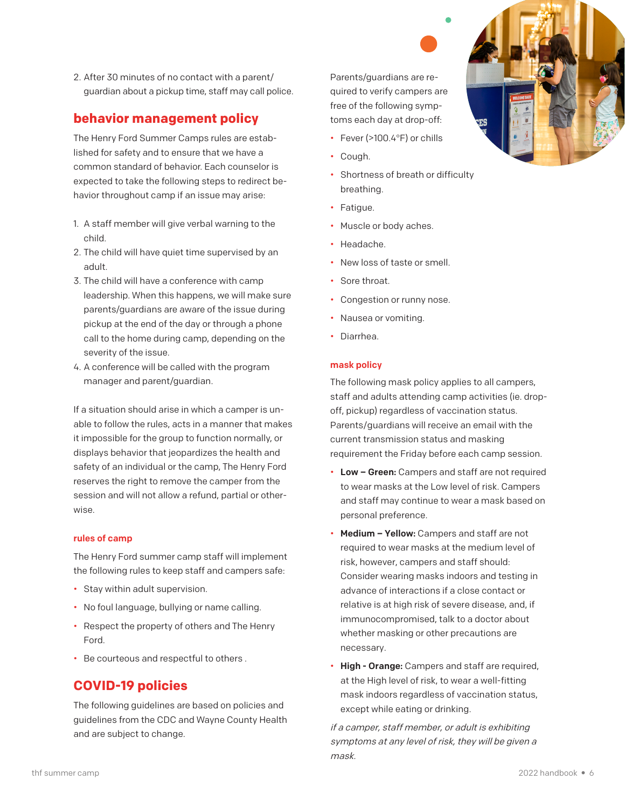<span id="page-5-0"></span>2. After 30 minutes of no contact with a parent/ guardian about a pickup time, staff may call police.

# **behavior management policy**

The Henry Ford Summer Camps rules are established for safety and to ensure that we have a common standard of behavior. Each counselor is expected to take the following steps to redirect behavior throughout camp if an issue may arise:

- 1. A staff member will give verbal warning to the child.
- 2. The child will have quiet time supervised by an adult.
- 3. The child will have a conference with camp leadership. When this happens, we will make sure parents/guardians are aware of the issue during pickup at the end of the day or through a phone call to the home during camp, depending on the severity of the issue.
- 4. A conference will be called with the program manager and parent/guardian.

If a situation should arise in which a camper is unable to follow the rules, acts in a manner that makes it impossible for the group to function normally, or displays behavior that jeopardizes the health and safety of an individual or the camp, The Henry Ford reserves the right to remove the camper from the session and will not allow a refund, partial or otherwise.

## rules of camp

The Henry Ford summer camp staff will implement the following rules to keep staff and campers safe:

- Stay within adult supervision.
- No foul language, bullying or name calling.
- Respect the property of others and The Henry Ford.
- Be courteous and respectful to others .

# **COVID-19 policies**

The following guidelines are based on policies and guidelines from the CDC and Wayne County Health and are subject to change.

Parents/guardians are required to verify campers are free of the following symptoms each day at drop-off:

- Fever (>100.4°F) or chills
- Cough.
- Shortness of breath or difficulty breathing.
- Fatigue.
- Muscle or body aches.
- Headache.
- New loss of taste or smell.
- Sore throat.
- Congestion or runny nose.
- Nausea or vomiting.
- Diarrhea.

## mask policy

The following mask policy applies to all campers, staff and adults attending camp activities (ie. dropoff, pickup) regardless of vaccination status. Parents/guardians will receive an email with the current transmission status and masking requirement the Friday before each camp session.

- Low Green: Campers and staff are not required to wear masks at the Low level of risk. Campers and staff may continue to wear a mask based on personal preference.
- Medium Yellow: Campers and staff are not required to wear masks at the medium level of risk, however, campers and staff should: Consider wearing masks indoors and testing in advance of interactions if a close contact or relative is at high risk of severe disease, and, if immunocompromised, talk to a doctor about whether masking or other precautions are necessary.
- High Orange: Campers and staff are required, at the High level of risk, to wear a well-fitting mask indoors regardless of vaccination status, except while eating or drinking.

if a camper, staff member, or adult is exhibiting symptoms at any level of risk, they will be given a mask.